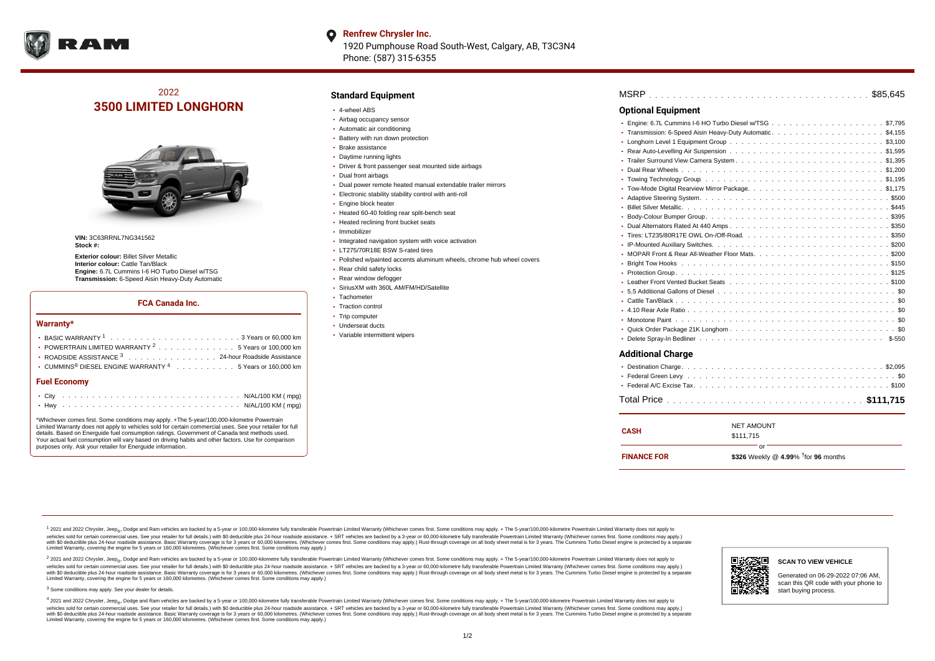

# 2022 **3500 LIMITED LONGHORN**



**VIN:** 3C63RRNL7NG341562 **Stock #:**

**Exterior colour:** Billet Silver Metallic **Interior colour:** Cattle Tan/Black **Engine:** 6.7L Cummins I-6 HO Turbo Diesel w/TSG **Transmission:** 6-Speed Aisin Heavy-Duty Automatic

### **FCA Canada Inc.**

#### **Warranty\***

| <b>Fuel Economy</b>                                                                      |  |  |  |  |  |
|------------------------------------------------------------------------------------------|--|--|--|--|--|
| • CUMMINS <sup>®</sup> DIESEL ENGINE WARRANTY $4$ 5 Years or 160,000 km                  |  |  |  |  |  |
| ROADSIDE ASSISTANCE 3 24-hour Roadside Assistance                                        |  |  |  |  |  |
| • POWERTRAIN LIMITED WARRANTY $2, \ldots, \ldots, \ldots, \ldots, 5$ Years or 100,000 km |  |  |  |  |  |
|                                                                                          |  |  |  |  |  |

\*Whichever comes first. Some conditions may apply. +The 5-year/100,000-kilometre Powertrain Limited Warranty does not apply to vehicles sold for certain commercial uses. See your retailer for full details. Based on Energuide fuel consumption ratings. Government of Canada test methods used. Your actual fuel consumption will vary based on driving habits and other factors. Use for comparison purposes only. Ask your retailer for Energuide information.

### **Standard Equipment**

- 4-wheel ABS
- Airbag occupancy sensor
- Automatic air conditioning
- Battery with run down protection
- Brake assistance
- Daytime running lights
- Driver & front passenger seat mounted side airbags
- Dual front airbags
- Dual power remote heated manual extendable trailer mirrors
- Electronic stability stability control with anti-roll
- **Engine block heater**
- Heated 60-40 folding rear split-bench seat
- Heated reclining front bucket seats
- Immobilizer
- Integrated navigation system with voice activation
- LT275/70R18E BSW S-rated tires
- Polished w/painted accents aluminum wheels, chrome hub wheel covers
- Rear child safety locks
- Rear window defogger
- SiriusXM with 360L AM/FM/HD/Satellite
- Tachometer
- Traction control
- Trip computer
- Underseat ducts
- Variable intermittent wipers

## . . . . . . . . . . . . . . . . . . . . . . . . . . . . . . . . . . . . . . . . . . . . . . MSRP \$85,645 Engine: 6.7L Cummins I-6 HO Turbo Diesel w/TSG  $\ldots \ldots \ldots \ldots \ldots \ldots \ldots \ldots \ldots$ \$7,795 . . . . . . . . . . . . . . . . . . . . . . . . . . . . . . . . . . . . . . . . . . . . . . Transmission: 6-Speed Aisin Heavy-Duty Automatic \$4,155 . . . . . . . . . . . . . . . . . . . . . . . . . . . . . . . . . . . . . . . . . . . . . . Longhorn Level 1 Equipment Group \$3,100 Rear Auto-Levelling Air Suspension  $\ldots \ldots \ldots \ldots \ldots \ldots \ldots \ldots \ldots \ldots \ldots \$ \$1,595 . . . . . . . . . . . . . . . . . . . . . . . . . . . . . . . . . . . . . . . . . . . . . . Trailer Surround View Camera System \$1,395 . . . . . . . . . . . . . . . . . . . . . . . . . . . . . . . . . . . . . . . . . . . . . . Dual Rear Wheels \$1,200 Towing Technology Group ..................................\$1,195 Tow-Mode Digital Rearview Mirror Package. .........................\$1,175 Adaptive Steering System. .................................5500 **Optional Equipment**

| • 5.5 Additional Gallons of Diesel ............................... \$0 |  |
|------------------------------------------------------------------------|--|
|                                                                        |  |
|                                                                        |  |
|                                                                        |  |
|                                                                        |  |
|                                                                        |  |
|                                                                        |  |

### **Additional Charge**

| <b>CASH</b>        | <b>NET AMOUNT</b>                            |
|--------------------|----------------------------------------------|
|                    | \$111.715                                    |
|                    | nr.                                          |
| <b>FINANCE FOR</b> | \$326 Weekly @ 4.99% $\dagger$ for 96 months |

<sup>1</sup> 2021 and 2022 Chrysler, Jeep<sub>®</sub>, Dodge and Ram vehicles are backed by a 5-year or 100,000-kilometre fully transferable Powertrain Limited Warranty (Whichever comes first. Some conditions may apply. + The 5-year/100,000 vehicles sold for certain commercial uses. See your retailer for full details.) with \$0 deductible plus 24-hour roadside assistance. + SRT vehicles are backed by a 3-year or 60,000-kilometre fully transferable Powertrain L vendas sou ou certain control and the matter of the matter of the control of the second control and the second control of the second control of the second the second second the second second second in the second second sec Limited Warranty, covering the engine for 5 years or 160,000 kilometres. (Whichever comes first. Some conditions may apply.)

2 2021 and 2022 Chrysler, Jeep<sub>®</sub>, Dodge and Ram vehicles are backed by a 5-year or 100,000-kilometre fully transferable Powertrain Limited Warranty (Whichever comes first. Some conditions may apply. + The 5-year/100,000-k vehicles sold for certain commercial uses. See your retailer for full details.) with SO deductible plus 24-hour roadside assistance. + SRT vehicles are backed by a 3-year or 60.000-kilometre fully transferable Powertrain L vando concerned a mandato control and the mandato concerned a mandato concerned a mandato concerned a mandato concerned a mandato concerned a mandato concerned a mandato concerned a mandato concerned a mandato concerned a Limited Warranty, covering the engine for 5 years or 160,000 kilometres. (Whichever comes first. Some conditions may apply.)

<sup>3</sup> Some conditions may apply. See your dealer for details.

4 2021 and 2022 Chrysler, Jeep<sub>®</sub>, Dodge and Ram vehicles are backed by a 5-year or 100,000-kilometre fully transferable Powertrain Limited Warranty (Whichever comes first. Some conditions may apply. + The 5-year/100,000-k vehicles sold for certain commercial uses. See your retailer for full details.) with \$0 deductible plus 24-hour roadside assistance. + SRT vehicles are backed by a 3-year or 60,000-kilometre fully transferable Powertrain L with \$0 deductible plus 24-hour roadside assistance. Basic Warranty coverage is for 3 years or 60,000 kilometres. (Whichever comes first. Some conditions may apply.) Rust-through coverage on all body sheet metal is for 3 y Limited Warranty, covering the engine for 5 years or 160,000 kilometres. (Whichever comes first. Some conditions may apply.)



Generated on 06-29-2022 07:06 AM, scan this QR code with your phone to start buying process.